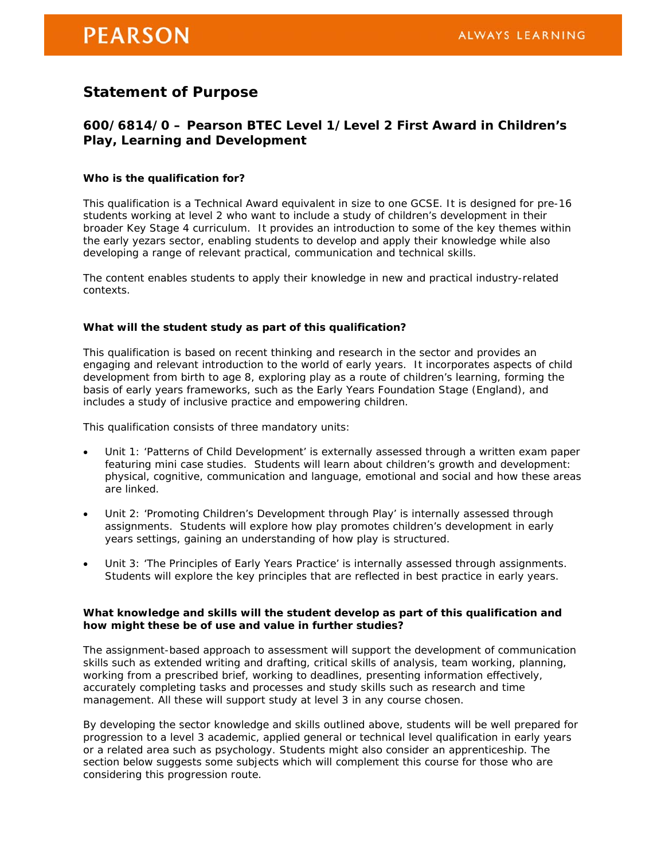# **PEARSON**

## **Statement of Purpose**

### **600/6814/0 – Pearson BTEC Level 1/Level 2 First Award in Children's Play, Learning and Development**

#### **Who is the qualification for?**

This qualification is a Technical Award equivalent in size to one GCSE. It is designed for pre-16 students working at level 2 who want to include a study of children's development in their broader Key Stage 4 curriculum. It provides an introduction to some of the key themes within the early yezars sector, enabling students to develop and apply their knowledge while also developing a range of relevant practical, communication and technical skills.

The content enables students to apply their knowledge in new and practical industry-related contexts.

#### **What will the student study as part of this qualification?**

This qualification is based on recent thinking and research in the sector and provides an engaging and relevant introduction to the world of early years. It incorporates aspects of child development from birth to age 8, exploring play as a route of children's learning, forming the basis of early years frameworks, such as the Early Years Foundation Stage (England), and includes a study of inclusive practice and empowering children.

This qualification consists of three mandatory units:

- Unit 1: 'Patterns of Child Development' is externally assessed through a written exam paper featuring mini case studies. Students will learn about children's growth and development: physical, cognitive, communication and language, emotional and social and how these areas are linked.
- Unit 2: 'Promoting Children's Development through Play' is internally assessed through assignments. Students will explore how play promotes children's development in early years settings, gaining an understanding of how play is structured.
- Unit 3: 'The Principles of Early Years Practice' is internally assessed through assignments. Students will explore the key principles that are reflected in best practice in early years.

#### **What knowledge and skills will the student develop as part of this qualification and how might these be of use and value in further studies?**

The assignment-based approach to assessment will support the development of communication skills such as extended writing and drafting, critical skills of analysis, team working, planning, working from a prescribed brief, working to deadlines, presenting information effectively, accurately completing tasks and processes and study skills such as research and time management. All these will support study at level 3 in any course chosen.

By developing the sector knowledge and skills outlined above, students will be well prepared for progression to a level 3 academic, applied general or technical level qualification in early years or a related area such as psychology. Students might also consider an apprenticeship. The section below suggests some subjects which will complement this course for those who are considering this progression route.